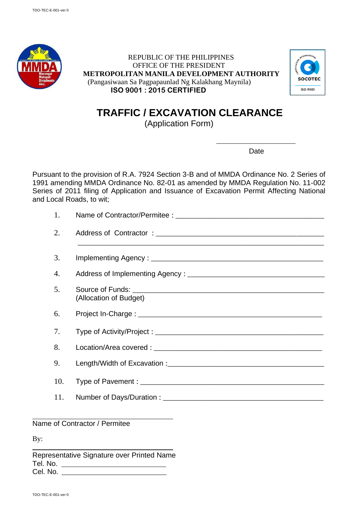

 REPUBLIC OF THE PHILIPPINES OFFICE OF THE PRESIDENT **METROPOLITAN MANILA DEVELOPMENT AUTHORITY** (Pangasiwaan Sa Pagpapaunlad Ng Kalakhang Maynila) **ISO 9001 : 2015 CERTIFIED**



## **TRAFFIC / EXCAVATION CLEARANCE**

(Application Form)

Date

Pursuant to the provision of R.A. 7924 Section 3-B and of MMDA Ordinance No. 2 Series of 1991 amending MMDA Ordinance No. 82-01 as amended by MMDA Regulation No. 11-002 Series of 2011 filing of Application and Issuance of Excavation Permit Affecting National and Local Roads, to wit;

| 1.  |                        |
|-----|------------------------|
| 2.  |                        |
| 3.  |                        |
| 4.  |                        |
| 5.  | (Allocation of Budget) |
| 6.  |                        |
| 7.  |                        |
| 8.  |                        |
| 9.  |                        |
| 10. |                        |
| 11. |                        |

Name of Contractor / Permitee

By:

Representative Signature over Printed Name Tel. No. Cel. No. \_\_\_\_\_\_\_\_\_\_\_\_\_\_\_\_\_\_\_\_\_\_\_\_\_\_\_\_\_